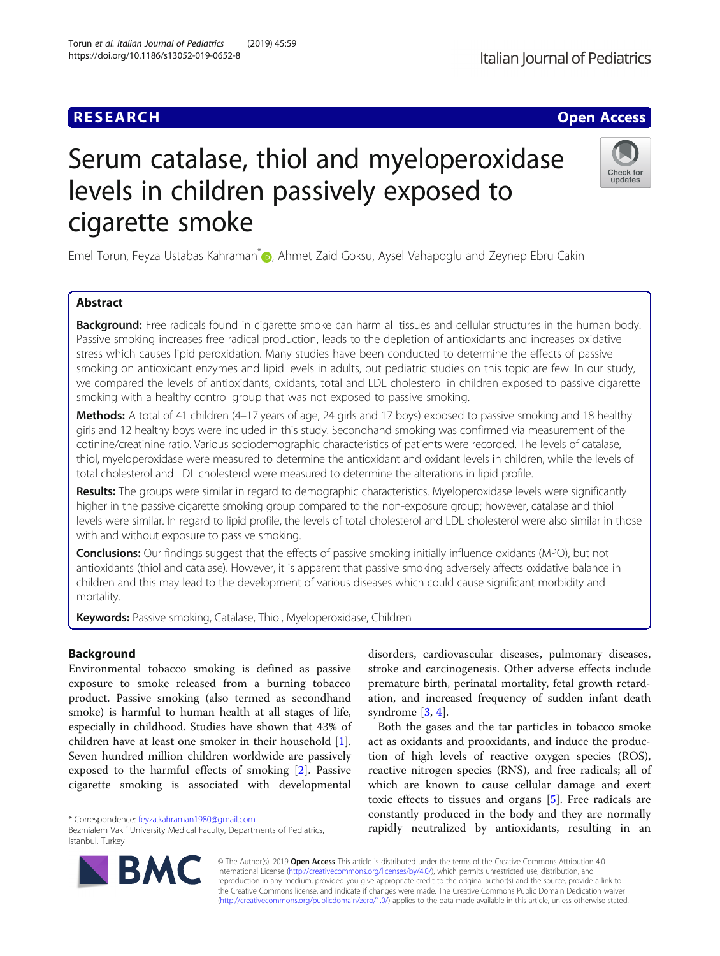# **RESEARCH CHE Open Access**

# Serum catalase, thiol and myeloperoxidase levels in children passively exposed to cigarette smoke

Emel Torun, Feyza Ustabas Kahraman<sup>[\\*](http://orcid.org/0000-0003-3842-7723)</sup> <sub>(D</sub>, Ahmet Zaid Goksu, Aysel Vahapoglu and Zeynep Ebru Cakin

# Abstract

Background: Free radicals found in cigarette smoke can harm all tissues and cellular structures in the human body. Passive smoking increases free radical production, leads to the depletion of antioxidants and increases oxidative stress which causes lipid peroxidation. Many studies have been conducted to determine the effects of passive smoking on antioxidant enzymes and lipid levels in adults, but pediatric studies on this topic are few. In our study, we compared the levels of antioxidants, oxidants, total and LDL cholesterol in children exposed to passive cigarette smoking with a healthy control group that was not exposed to passive smoking.

Methods: A total of 41 children (4-17 years of age, 24 girls and 17 boys) exposed to passive smoking and 18 healthy girls and 12 healthy boys were included in this study. Secondhand smoking was confirmed via measurement of the cotinine/creatinine ratio. Various sociodemographic characteristics of patients were recorded. The levels of catalase, thiol, myeloperoxidase were measured to determine the antioxidant and oxidant levels in children, while the levels of total cholesterol and LDL cholesterol were measured to determine the alterations in lipid profile.

Results: The groups were similar in regard to demographic characteristics. Myeloperoxidase levels were significantly higher in the passive cigarette smoking group compared to the non-exposure group; however, catalase and thiol levels were similar. In regard to lipid profile, the levels of total cholesterol and LDL cholesterol were also similar in those with and without exposure to passive smoking.

Conclusions: Our findings suggest that the effects of passive smoking initially influence oxidants (MPO), but not antioxidants (thiol and catalase). However, it is apparent that passive smoking adversely affects oxidative balance in children and this may lead to the development of various diseases which could cause significant morbidity and mortality.

Keywords: Passive smoking, Catalase, Thiol, Myeloperoxidase, Children

# Background

Environmental tobacco smoking is defined as passive exposure to smoke released from a burning tobacco product. Passive smoking (also termed as secondhand smoke) is harmful to human health at all stages of life, especially in childhood. Studies have shown that 43% of children have at least one smoker in their household [\[1](#page-5-0)]. Seven hundred million children worldwide are passively exposed to the harmful effects of smoking [[2\]](#page-5-0). Passive cigarette smoking is associated with developmental

\* Correspondence: [feyza.kahraman1980@gmail.com](mailto:feyza.kahraman1980@gmail.com)

© The Author(s). 2019 **Open Access** This article is distributed under the terms of the Creative Commons Attribution 4.0 International License [\(http://creativecommons.org/licenses/by/4.0/](http://creativecommons.org/licenses/by/4.0/)), which permits unrestricted use, distribution, and reproduction in any medium, provided you give appropriate credit to the original author(s) and the source, provide a link to the Creative Commons license, and indicate if changes were made. The Creative Commons Public Domain Dedication waiver [\(http://creativecommons.org/publicdomain/zero/1.0/](http://creativecommons.org/publicdomain/zero/1.0/)) applies to the data made available in this article, unless otherwise stated.

disorders, cardiovascular diseases, pulmonary diseases, stroke and carcinogenesis. Other adverse effects include premature birth, perinatal mortality, fetal growth retardation, and increased frequency of sudden infant death syndrome [\[3,](#page-5-0) [4\]](#page-5-0).

Both the gases and the tar particles in tobacco smoke act as oxidants and prooxidants, and induce the production of high levels of reactive oxygen species (ROS), reactive nitrogen species (RNS), and free radicals; all of which are known to cause cellular damage and exert toxic effects to tissues and organs [\[5](#page-5-0)]. Free radicals are constantly produced in the body and they are normally rapidly neutralized by antioxidants, resulting in an







Bezmialem Vakif University Medical Faculty, Departments of Pediatrics, Istanbul, Turkey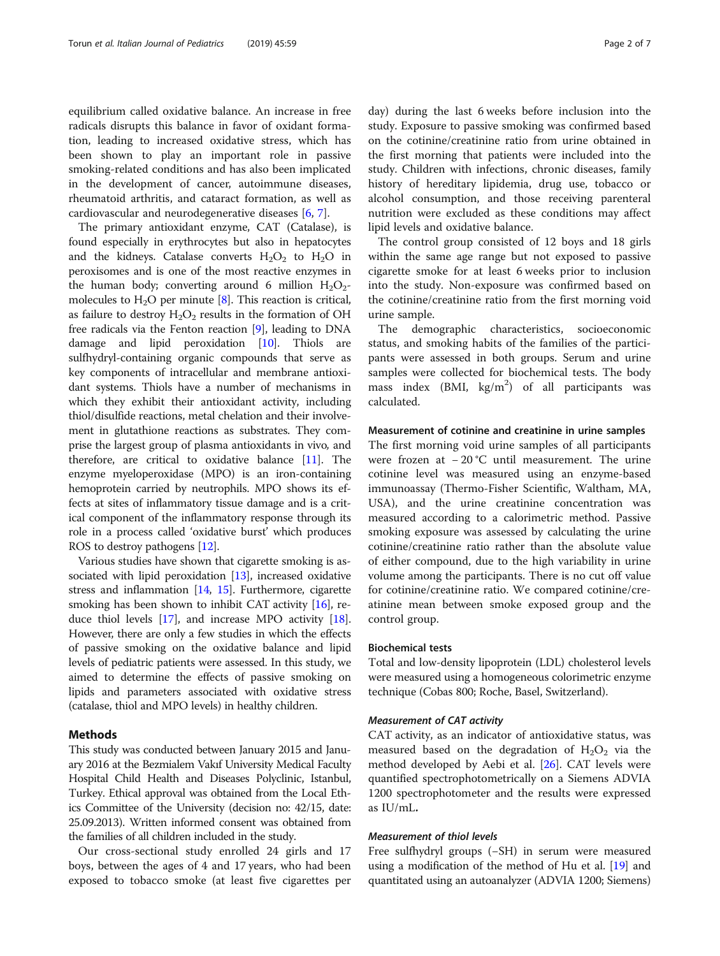equilibrium called oxidative balance. An increase in free radicals disrupts this balance in favor of oxidant formation, leading to increased oxidative stress, which has been shown to play an important role in passive smoking-related conditions and has also been implicated in the development of cancer, autoimmune diseases, rheumatoid arthritis, and cataract formation, as well as cardiovascular and neurodegenerative diseases [[6,](#page-5-0) [7\]](#page-5-0).

The primary antioxidant enzyme, CAT (Catalase), is found especially in erythrocytes but also in hepatocytes and the kidneys. Catalase converts  $H_2O_2$  to  $H_2O$  in peroxisomes and is one of the most reactive enzymes in the human body; converting around 6 million  $H_2O_2$ molecules to  $H_2O$  per minute [\[8\]](#page-5-0). This reaction is critical, as failure to destroy  $H_2O_2$  results in the formation of OH free radicals via the Fenton reaction [\[9](#page-5-0)], leading to DNA damage and lipid peroxidation [[10](#page-5-0)]. Thiols are sulfhydryl-containing organic compounds that serve as key components of intracellular and membrane antioxidant systems. Thiols have a number of mechanisms in which they exhibit their antioxidant activity, including thiol/disulfide reactions, metal chelation and their involvement in glutathione reactions as substrates. They comprise the largest group of plasma antioxidants in vivo, and therefore, are critical to oxidative balance  $[11]$  $[11]$  $[11]$ . The enzyme myeloperoxidase (MPO) is an iron-containing hemoprotein carried by neutrophils. MPO shows its effects at sites of inflammatory tissue damage and is a critical component of the inflammatory response through its role in a process called 'oxidative burst' which produces ROS to destroy pathogens [[12](#page-5-0)].

Various studies have shown that cigarette smoking is associated with lipid peroxidation [\[13\]](#page-5-0), increased oxidative stress and inflammation [[14](#page-5-0), [15](#page-5-0)]. Furthermore, cigarette smoking has been shown to inhibit CAT activity [[16](#page-5-0)], reduce thiol levels [\[17\]](#page-5-0), and increase MPO activity [[18](#page-5-0)]. However, there are only a few studies in which the effects of passive smoking on the oxidative balance and lipid levels of pediatric patients were assessed. In this study, we aimed to determine the effects of passive smoking on lipids and parameters associated with oxidative stress (catalase, thiol and MPO levels) in healthy children.

# Methods

This study was conducted between January 2015 and January 2016 at the Bezmialem Vakıf University Medical Faculty Hospital Child Health and Diseases Polyclinic, Istanbul, Turkey. Ethical approval was obtained from the Local Ethics Committee of the University (decision no: 42/15, date: 25.09.2013). Written informed consent was obtained from the families of all children included in the study.

Our cross-sectional study enrolled 24 girls and 17 boys, between the ages of 4 and 17 years, who had been exposed to tobacco smoke (at least five cigarettes per day) during the last 6 weeks before inclusion into the study. Exposure to passive smoking was confirmed based on the cotinine/creatinine ratio from urine obtained in the first morning that patients were included into the study. Children with infections, chronic diseases, family history of hereditary lipidemia, drug use, tobacco or alcohol consumption, and those receiving parenteral nutrition were excluded as these conditions may affect lipid levels and oxidative balance.

The control group consisted of 12 boys and 18 girls within the same age range but not exposed to passive cigarette smoke for at least 6 weeks prior to inclusion into the study. Non-exposure was confirmed based on the cotinine/creatinine ratio from the first morning void urine sample.

The demographic characteristics, socioeconomic status, and smoking habits of the families of the participants were assessed in both groups. Serum and urine samples were collected for biochemical tests. The body mass index (BMI,  $\text{kg/m}^2$ ) of all participants was calculated.

## Measurement of cotinine and creatinine in urine samples

The first morning void urine samples of all participants were frozen at − 20 °C until measurement. The urine cotinine level was measured using an enzyme-based immunoassay (Thermo-Fisher Scientific, Waltham, MA, USA), and the urine creatinine concentration was measured according to a calorimetric method. Passive smoking exposure was assessed by calculating the urine cotinine/creatinine ratio rather than the absolute value of either compound, due to the high variability in urine volume among the participants. There is no cut off value for cotinine/creatinine ratio. We compared cotinine/creatinine mean between smoke exposed group and the control group.

## Biochemical tests

Total and low-density lipoprotein (LDL) cholesterol levels were measured using a homogeneous colorimetric enzyme technique (Cobas 800; Roche, Basel, Switzerland).

#### Measurement of CAT activity

CAT activity, as an indicator of antioxidative status, was measured based on the degradation of  $H_2O_2$  via the method developed by Aebi et al. [[26\]](#page-6-0). CAT levels were quantified spectrophotometrically on a Siemens ADVIA 1200 spectrophotometer and the results were expressed as IU/mL.

# Measurement of thiol levels

Free sulfhydryl groups (−SH) in serum were measured using a modification of the method of Hu et al. [\[19](#page-5-0)] and quantitated using an autoanalyzer (ADVIA 1200; Siemens)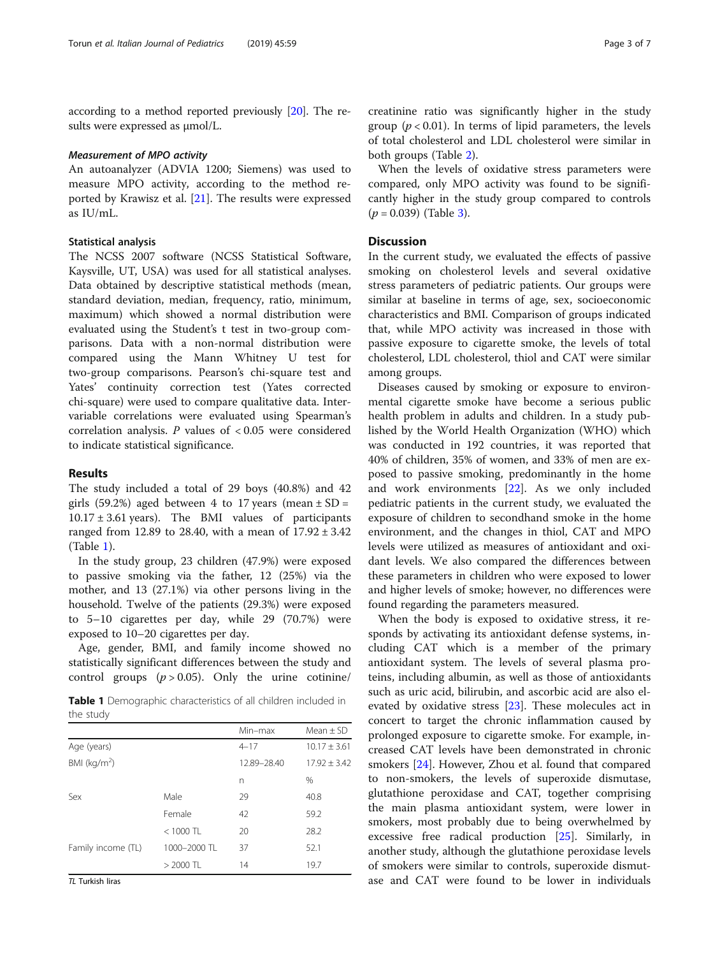according to a method reported previously [[20](#page-5-0)]. The results were expressed as μmol/L.

#### Measurement of MPO activity

An autoanalyzer (ADVIA 1200; Siemens) was used to measure MPO activity, according to the method reported by Krawisz et al. [[21\]](#page-5-0). The results were expressed as IU/mL.

# Statistical analysis

The NCSS 2007 software (NCSS Statistical Software, Kaysville, UT, USA) was used for all statistical analyses. Data obtained by descriptive statistical methods (mean, standard deviation, median, frequency, ratio, minimum, maximum) which showed a normal distribution were evaluated using the Student's t test in two-group comparisons. Data with a non-normal distribution were compared using the Mann Whitney U test for two-group comparisons. Pearson's chi-square test and Yates' continuity correction test (Yates corrected chi-square) were used to compare qualitative data. Intervariable correlations were evaluated using Spearman's correlation analysis.  $P$  values of  $< 0.05$  were considered to indicate statistical significance.

# Results

The study included a total of 29 boys (40.8%) and 42 girls (59.2%) aged between 4 to 17 years (mean  $\pm$  SD =  $10.17 \pm 3.61$  years). The BMI values of participants ranged from 12.89 to 28.40, with a mean of  $17.92 \pm 3.42$ (Table 1).

In the study group, 23 children (47.9%) were exposed to passive smoking via the father, 12 (25%) via the mother, and 13 (27.1%) via other persons living in the household. Twelve of the patients (29.3%) were exposed to 5–10 cigarettes per day, while 29 (70.7%) were exposed to 10–20 cigarettes per day.

Age, gender, BMI, and family income showed no statistically significant differences between the study and control groups  $(p > 0.05)$ . Only the urine cotinine/

Table 1 Demographic characteristics of all children included in the study

|                          |              | Min-max     | $Mean \pm SD$    |
|--------------------------|--------------|-------------|------------------|
| Age (years)              |              | $4 - 17$    | $10.17 \pm 3.61$ |
| BMI (kg/m <sup>2</sup> ) |              | 12.89-28.40 | $17.92 + 3.42$   |
|                          |              | n           | %                |
| Sex                      | Male         | 29          | 40.8             |
|                          | Female       | 42          | 59.2             |
|                          | $< 1000$ Tl  | 20          | 28.2             |
| Family income (TL)       | 1000-2000 TL | 37          | 52.1             |
|                          | $>$ 2000 TL  | 14          | 19.7             |

TL Turkish liras

creatinine ratio was significantly higher in the study group ( $p < 0.01$ ). In terms of lipid parameters, the levels of total cholesterol and LDL cholesterol were similar in both groups (Table [2](#page-3-0)).

When the levels of oxidative stress parameters were compared, only MPO activity was found to be significantly higher in the study group compared to controls  $(p = 0.039)$  (Table [3\)](#page-3-0).

# **Discussion**

In the current study, we evaluated the effects of passive smoking on cholesterol levels and several oxidative stress parameters of pediatric patients. Our groups were similar at baseline in terms of age, sex, socioeconomic characteristics and BMI. Comparison of groups indicated that, while MPO activity was increased in those with passive exposure to cigarette smoke, the levels of total cholesterol, LDL cholesterol, thiol and CAT were similar among groups.

Diseases caused by smoking or exposure to environmental cigarette smoke have become a serious public health problem in adults and children. In a study published by the World Health Organization (WHO) which was conducted in 192 countries, it was reported that 40% of children, 35% of women, and 33% of men are exposed to passive smoking, predominantly in the home and work environments [[22\]](#page-5-0). As we only included pediatric patients in the current study, we evaluated the exposure of children to secondhand smoke in the home environment, and the changes in thiol, CAT and MPO levels were utilized as measures of antioxidant and oxidant levels. We also compared the differences between these parameters in children who were exposed to lower and higher levels of smoke; however, no differences were found regarding the parameters measured.

When the body is exposed to oxidative stress, it responds by activating its antioxidant defense systems, including CAT which is a member of the primary antioxidant system. The levels of several plasma proteins, including albumin, as well as those of antioxidants such as uric acid, bilirubin, and ascorbic acid are also elevated by oxidative stress [[23](#page-6-0)]. These molecules act in concert to target the chronic inflammation caused by prolonged exposure to cigarette smoke. For example, increased CAT levels have been demonstrated in chronic smokers [[24\]](#page-6-0). However, Zhou et al. found that compared to non-smokers, the levels of superoxide dismutase, glutathione peroxidase and CAT, together comprising the main plasma antioxidant system, were lower in smokers, most probably due to being overwhelmed by excessive free radical production [\[25](#page-6-0)]. Similarly, in another study, although the glutathione peroxidase levels of smokers were similar to controls, superoxide dismutase and CAT were found to be lower in individuals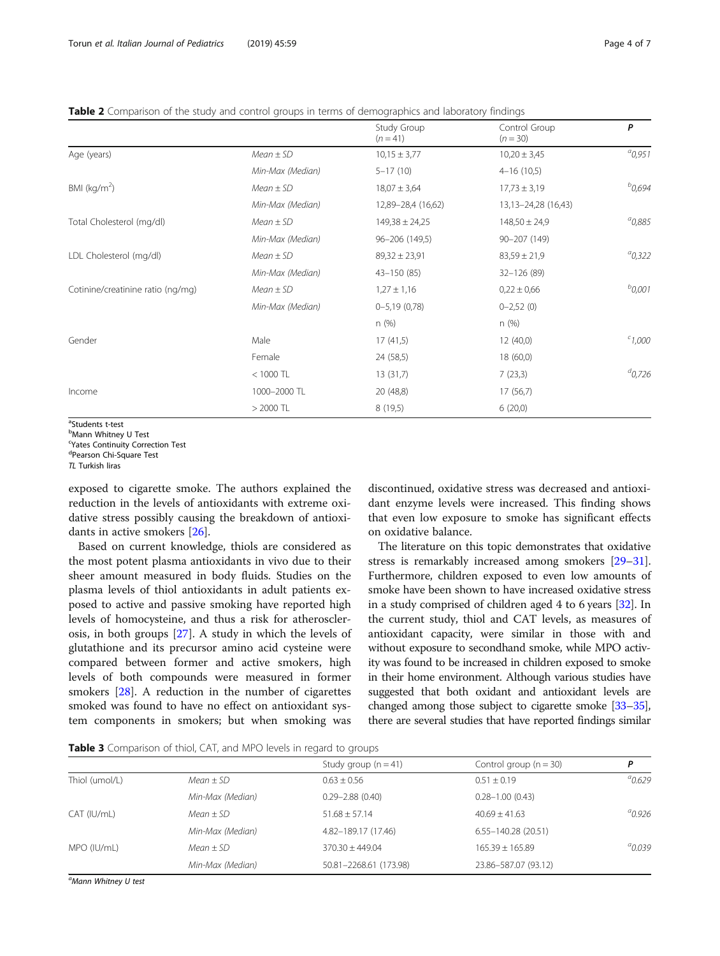<span id="page-3-0"></span>Table 2 Comparison of the study and control groups in terms of demographics and laboratory findings

|                                   |                  | Study Group<br>$(n = 41)$ | Control Group<br>$(n = 30)$ | P            |
|-----------------------------------|------------------|---------------------------|-----------------------------|--------------|
| Age (years)                       | $Mean \pm SD$    | $10,15 \pm 3,77$          | $10,20 \pm 3,45$            | $^{a}$ 0,951 |
|                                   | Min-Max (Median) | $5 - 17(10)$              | $4 - 16(10,5)$              |              |
| BMI ( $kg/m2$ )                   | $Mean \pm SD$    | $18,07 \pm 3,64$          | $17,73 \pm 3,19$            | $b_{0,694}$  |
|                                   | Min-Max (Median) | 12,89-28,4 (16,62)        | 13,13-24,28 (16,43)         |              |
| Total Cholesterol (mg/dl)         | $Mean \pm SD$    | $149,38 \pm 24,25$        | $148,50 \pm 24,9$           | $^{a}$ 0,885 |
|                                   | Min-Max (Median) | 96-206 (149,5)            | 90-207 (149)                |              |
| LDL Cholesterol (mg/dl)           | $Mean \pm SD$    | $89,32 \pm 23,91$         | $83,59 \pm 21,9$            | $a_{0,322}$  |
|                                   | Min-Max (Median) | 43-150 (85)               | 32-126 (89)                 |              |
| Cotinine/creatinine ratio (ng/mg) | $Mean \pm SD$    | $1,27 \pm 1,16$           | $0,22 \pm 0,66$             | $^{b}$ 0,001 |
|                                   | Min-Max (Median) | $0 - 5,19(0,78)$          | $0 - 2,52(0)$               |              |
|                                   |                  | n(%)                      | n(%)                        |              |
| Gender                            | Male             | 17(41,5)                  | 12(40,0)                    | $c_{1,000}$  |
|                                   | Female           | 24 (58,5)                 | 18 (60,0)                   |              |
|                                   | $< 1000$ TL      | 13(31,7)                  | 7(23,3)                     | $d_{0,726}$  |
| Income                            | 1000-2000 TL     | 20 (48,8)                 | 17(56,7)                    |              |
|                                   | $>$ 2000 TL      | 8(19,5)                   | 6(20,0)                     |              |

<sup>a</sup>Students t-test

**bMann Whitney U Test** 

<sup>c</sup>Yates Continuity Correction Test

<sup>d</sup>Pearson Chi-Square Test TL Turkish liras

exposed to cigarette smoke. The authors explained the reduction in the levels of antioxidants with extreme oxidative stress possibly causing the breakdown of antioxidants in active smokers [[26\]](#page-6-0).

Based on current knowledge, thiols are considered as the most potent plasma antioxidants in vivo due to their sheer amount measured in body fluids. Studies on the plasma levels of thiol antioxidants in adult patients exposed to active and passive smoking have reported high levels of homocysteine, and thus a risk for atherosclerosis, in both groups [\[27\]](#page-6-0). A study in which the levels of glutathione and its precursor amino acid cysteine were compared between former and active smokers, high levels of both compounds were measured in former smokers [\[28\]](#page-6-0). A reduction in the number of cigarettes smoked was found to have no effect on antioxidant system components in smokers; but when smoking was

discontinued, oxidative stress was decreased and antioxidant enzyme levels were increased. This finding shows that even low exposure to smoke has significant effects on oxidative balance.

The literature on this topic demonstrates that oxidative stress is remarkably increased among smokers [\[29](#page-6-0)–[31](#page-6-0)]. Furthermore, children exposed to even low amounts of smoke have been shown to have increased oxidative stress in a study comprised of children aged 4 to 6 years [\[32\]](#page-6-0). In the current study, thiol and CAT levels, as measures of antioxidant capacity, were similar in those with and without exposure to secondhand smoke, while MPO activity was found to be increased in children exposed to smoke in their home environment. Although various studies have suggested that both oxidant and antioxidant levels are changed among those subject to cigarette smoke [\[33](#page-6-0)–[35](#page-6-0)], there are several studies that have reported findings similar

Table 3 Comparison of thiol, CAT, and MPO levels in regard to groups

|                |                  | Study group $(n = 41)$ | Control group $(n = 30)$ | P            |
|----------------|------------------|------------------------|--------------------------|--------------|
| Thiol (umol/L) | $Mean \pm SD$    | $0.63 \pm 0.56$        | $0.51 \pm 0.19$          | $^{a}$ 0.629 |
|                | Min-Max (Median) | $0.29 - 2.88(0.40)$    | $0.28 - 1.00$ $(0.43)$   |              |
| CAT (IU/mL)    | $Mean \pm SD$    | $51.68 + 57.14$        | $40.69 + 41.63$          | $^{a}$ 0.926 |
|                | Min-Max (Median) | 4.82-189.17 (17.46)    | $6.55 - 140.28$ (20.51)  |              |
| MPO (IU/mL)    | $Mean \pm SD$    | $370.30 + 449.04$      | $165.39 + 165.89$        | $^{a}$ 0.039 |
|                | Min-Max (Median) | 50.81-2268.61 (173.98) | 23.86-587.07 (93.12)     |              |

a<br>Mann Whitney U test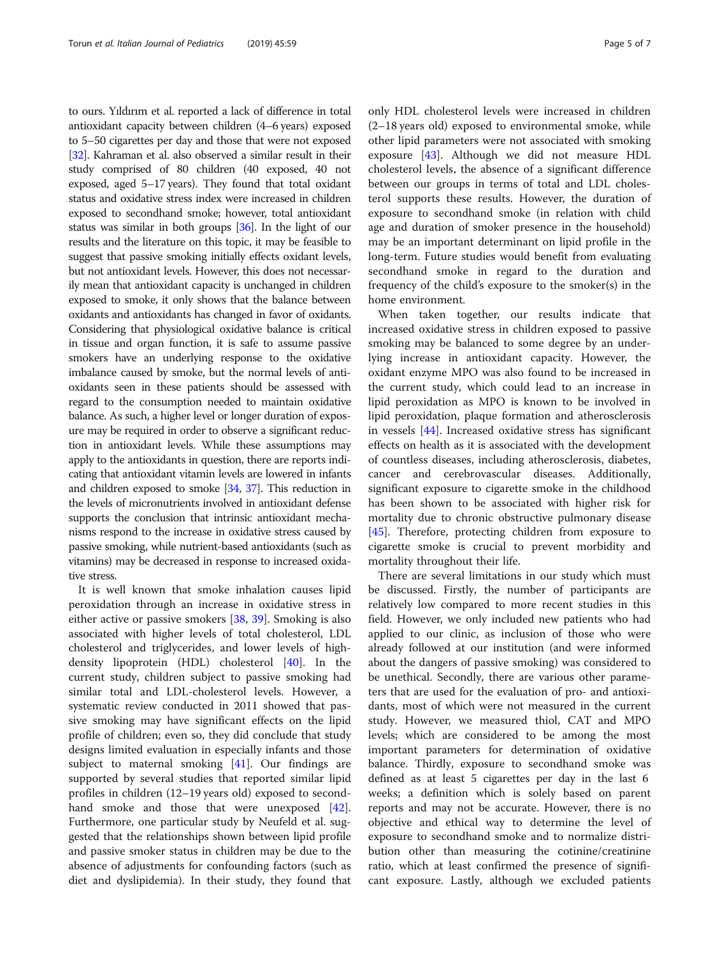to ours. Yıldırım et al. reported a lack of difference in total antioxidant capacity between children (4–6 years) exposed to 5–50 cigarettes per day and those that were not exposed [[32](#page-6-0)]. Kahraman et al. also observed a similar result in their study comprised of 80 children (40 exposed, 40 not exposed, aged 5–17 years). They found that total oxidant status and oxidative stress index were increased in children exposed to secondhand smoke; however, total antioxidant status was similar in both groups [\[36](#page-6-0)]. In the light of our results and the literature on this topic, it may be feasible to suggest that passive smoking initially effects oxidant levels, but not antioxidant levels. However, this does not necessarily mean that antioxidant capacity is unchanged in children exposed to smoke, it only shows that the balance between oxidants and antioxidants has changed in favor of oxidants. Considering that physiological oxidative balance is critical in tissue and organ function, it is safe to assume passive smokers have an underlying response to the oxidative imbalance caused by smoke, but the normal levels of antioxidants seen in these patients should be assessed with regard to the consumption needed to maintain oxidative balance. As such, a higher level or longer duration of exposure may be required in order to observe a significant reduction in antioxidant levels. While these assumptions may apply to the antioxidants in question, there are reports indicating that antioxidant vitamin levels are lowered in infants and children exposed to smoke [\[34,](#page-6-0) [37\]](#page-6-0). This reduction in the levels of micronutrients involved in antioxidant defense supports the conclusion that intrinsic antioxidant mechanisms respond to the increase in oxidative stress caused by passive smoking, while nutrient-based antioxidants (such as vitamins) may be decreased in response to increased oxidative stress.

It is well known that smoke inhalation causes lipid peroxidation through an increase in oxidative stress in either active or passive smokers [\[38](#page-6-0), [39](#page-6-0)]. Smoking is also associated with higher levels of total cholesterol, LDL cholesterol and triglycerides, and lower levels of highdensity lipoprotein (HDL) cholesterol [\[40](#page-6-0)]. In the current study, children subject to passive smoking had similar total and LDL-cholesterol levels. However, a systematic review conducted in 2011 showed that passive smoking may have significant effects on the lipid profile of children; even so, they did conclude that study designs limited evaluation in especially infants and those subject to maternal smoking [\[41\]](#page-6-0). Our findings are supported by several studies that reported similar lipid profiles in children (12–19 years old) exposed to secondhand smoke and those that were unexposed [\[42](#page-6-0)]. Furthermore, one particular study by Neufeld et al. suggested that the relationships shown between lipid profile and passive smoker status in children may be due to the absence of adjustments for confounding factors (such as diet and dyslipidemia). In their study, they found that only HDL cholesterol levels were increased in children (2–18 years old) exposed to environmental smoke, while other lipid parameters were not associated with smoking exposure  $[43]$  $[43]$ . Although we did not measure HDL cholesterol levels, the absence of a significant difference between our groups in terms of total and LDL cholesterol supports these results. However, the duration of exposure to secondhand smoke (in relation with child

age and duration of smoker presence in the household) may be an important determinant on lipid profile in the long-term. Future studies would benefit from evaluating secondhand smoke in regard to the duration and frequency of the child's exposure to the smoker(s) in the home environment.

When taken together, our results indicate that increased oxidative stress in children exposed to passive smoking may be balanced to some degree by an underlying increase in antioxidant capacity. However, the oxidant enzyme MPO was also found to be increased in the current study, which could lead to an increase in lipid peroxidation as MPO is known to be involved in lipid peroxidation, plaque formation and atherosclerosis in vessels [[44](#page-6-0)]. Increased oxidative stress has significant effects on health as it is associated with the development of countless diseases, including atherosclerosis, diabetes, cancer and cerebrovascular diseases. Additionally, significant exposure to cigarette smoke in the childhood has been shown to be associated with higher risk for mortality due to chronic obstructive pulmonary disease [[45\]](#page-6-0). Therefore, protecting children from exposure to cigarette smoke is crucial to prevent morbidity and mortality throughout their life.

There are several limitations in our study which must be discussed. Firstly, the number of participants are relatively low compared to more recent studies in this field. However, we only included new patients who had applied to our clinic, as inclusion of those who were already followed at our institution (and were informed about the dangers of passive smoking) was considered to be unethical. Secondly, there are various other parameters that are used for the evaluation of pro- and antioxidants, most of which were not measured in the current study. However, we measured thiol, CAT and MPO levels; which are considered to be among the most important parameters for determination of oxidative balance. Thirdly, exposure to secondhand smoke was defined as at least 5 cigarettes per day in the last 6 weeks; a definition which is solely based on parent reports and may not be accurate. However, there is no objective and ethical way to determine the level of exposure to secondhand smoke and to normalize distribution other than measuring the cotinine/creatinine ratio, which at least confirmed the presence of significant exposure. Lastly, although we excluded patients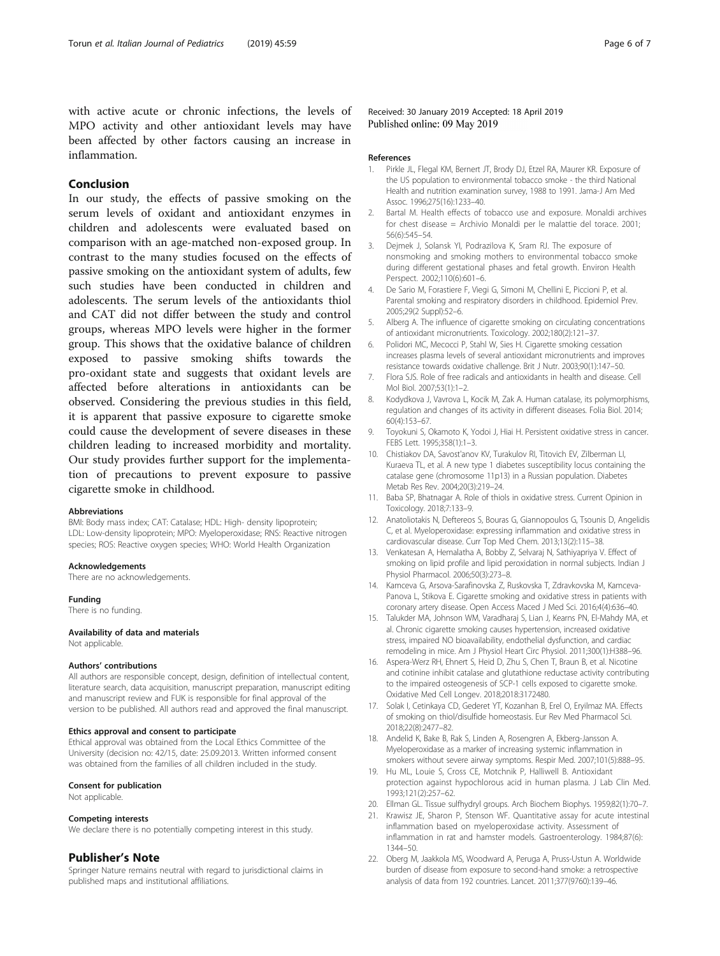<span id="page-5-0"></span>with active acute or chronic infections, the levels of MPO activity and other antioxidant levels may have been affected by other factors causing an increase in inflammation.

# Conclusion

In our study, the effects of passive smoking on the serum levels of oxidant and antioxidant enzymes in children and adolescents were evaluated based on comparison with an age-matched non-exposed group. In contrast to the many studies focused on the effects of passive smoking on the antioxidant system of adults, few such studies have been conducted in children and adolescents. The serum levels of the antioxidants thiol and CAT did not differ between the study and control groups, whereas MPO levels were higher in the former group. This shows that the oxidative balance of children exposed to passive smoking shifts towards the pro-oxidant state and suggests that oxidant levels are affected before alterations in antioxidants can be observed. Considering the previous studies in this field, it is apparent that passive exposure to cigarette smoke could cause the development of severe diseases in these children leading to increased morbidity and mortality. Our study provides further support for the implementation of precautions to prevent exposure to passive cigarette smoke in childhood.

#### Abbreviations

BMI: Body mass index; CAT: Catalase; HDL: High- density lipoprotein; LDL: Low-density lipoprotein; MPO: Myeloperoxidase; RNS: Reactive nitrogen species; ROS: Reactive oxygen species; WHO: World Health Organization

#### Acknowledgements

There are no acknowledgements.

#### Funding

There is no funding.

#### Availability of data and materials

Not applicable.

#### Authors' contributions

All authors are responsible concept, design, definition of intellectual content, literature search, data acquisition, manuscript preparation, manuscript editing and manuscript review and FUK is responsible for final approval of the version to be published. All authors read and approved the final manuscript.

# Ethics approval and consent to participate

Ethical approval was obtained from the Local Ethics Committee of the University (decision no: 42/15, date: 25.09.2013. Written informed consent was obtained from the families of all children included in the study.

#### Consent for publication

Not applicable.

#### Competing interests

We declare there is no potentially competing interest in this study.

### Publisher's Note

Springer Nature remains neutral with regard to jurisdictional claims in published maps and institutional affiliations.

Received: 30 January 2019 Accepted: 18 April 2019 Published online: 09 May 2019

#### References

- 1. Pirkle JL, Flegal KM, Bernert JT, Brody DJ, Etzel RA, Maurer KR. Exposure of the US population to environmental tobacco smoke - the third National Health and nutrition examination survey, 1988 to 1991. Jama-J Am Med Assoc. 1996;275(16):1233–40.
- 2. Bartal M. Health effects of tobacco use and exposure. Monaldi archives for chest disease = Archivio Monaldi per le malattie del torace. 2001; 56(6):545–54.
- 3. Dejmek J, Solansk YI, Podrazilova K, Sram RJ. The exposure of nonsmoking and smoking mothers to environmental tobacco smoke during different gestational phases and fetal growth. Environ Health Perspect. 2002;110(6):601–6.
- 4. De Sario M, Forastiere F, Viegi G, Simoni M, Chellini E, Piccioni P, et al. Parental smoking and respiratory disorders in childhood. Epidemiol Prev. 2005;29(2 Suppl):52–6.
- 5. Alberg A. The influence of cigarette smoking on circulating concentrations of antioxidant micronutrients. Toxicology. 2002;180(2):121–37.
- 6. Polidori MC, Mecocci P, Stahl W, Sies H. Cigarette smoking cessation increases plasma levels of several antioxidant micronutrients and improves resistance towards oxidative challenge. Brit J Nutr. 2003;90(1):147–50.
- 7. Flora SJS. Role of free radicals and antioxidants in health and disease. Cell Mol Biol. 2007;53(1):1–2.
- 8. Kodydkova J, Vavrova L, Kocik M, Zak A. Human catalase, its polymorphisms, regulation and changes of its activity in different diseases. Folia Biol. 2014; 60(4):153–67.
- 9. Toyokuni S, Okamoto K, Yodoi J, Hiai H. Persistent oxidative stress in cancer. FEBS Lett. 1995;358(1):1–3.
- 10. Chistiakov DA, Savost'anov KV, Turakulov RI, Titovich EV, Zilberman LI, Kuraeva TL, et al. A new type 1 diabetes susceptibility locus containing the catalase gene (chromosome 11p13) in a Russian population. Diabetes Metab Res Rev. 2004;20(3):219–24.
- 11. Baba SP, Bhatnagar A. Role of thiols in oxidative stress. Current Opinion in Toxicology. 2018;7:133–9.
- 12. Anatoliotakis N, Deftereos S, Bouras G, Giannopoulos G, Tsounis D, Angelidis C, et al. Myeloperoxidase: expressing inflammation and oxidative stress in cardiovascular disease. Curr Top Med Chem. 2013;13(2):115–38.
- 13. Venkatesan A, Hemalatha A, Bobby Z, Selvaraj N, Sathiyapriya V. Effect of smoking on lipid profile and lipid peroxidation in normal subjects. Indian J Physiol Pharmacol. 2006;50(3):273–8.
- 14. Kamceva G, Arsova-Sarafinovska Z, Ruskovska T, Zdravkovska M, Kamceva-Panova L, Stikova E. Cigarette smoking and oxidative stress in patients with coronary artery disease. Open Access Maced J Med Sci. 2016;4(4):636–40.
- 15. Talukder MA, Johnson WM, Varadharaj S, Lian J, Kearns PN, El-Mahdy MA, et al. Chronic cigarette smoking causes hypertension, increased oxidative stress, impaired NO bioavailability, endothelial dysfunction, and cardiac remodeling in mice. Am J Physiol Heart Circ Physiol. 2011;300(1):H388–96.
- 16. Aspera-Werz RH, Ehnert S, Heid D, Zhu S, Chen T, Braun B, et al. Nicotine and cotinine inhibit catalase and glutathione reductase activity contributing to the impaired osteogenesis of SCP-1 cells exposed to cigarette smoke. Oxidative Med Cell Longev. 2018;2018:3172480.
- 17. Solak I, Cetinkaya CD, Gederet YT, Kozanhan B, Erel O, Eryilmaz MA. Effects of smoking on thiol/disulfide homeostasis. Eur Rev Med Pharmacol Sci. 2018;22(8):2477–82.
- 18. Andelid K, Bake B, Rak S, Linden A, Rosengren A, Ekberg-Jansson A. Myeloperoxidase as a marker of increasing systemic inflammation in smokers without severe airway symptoms. Respir Med. 2007;101(5):888–95.
- 19. Hu ML, Louie S, Cross CE, Motchnik P, Halliwell B. Antioxidant protection against hypochlorous acid in human plasma. J Lab Clin Med. 1993;121(2):257–62.
- 20. Ellman GL. Tissue sulfhydryl groups. Arch Biochem Biophys. 1959;82(1):70–7.
- 21. Krawisz JE, Sharon P, Stenson WF. Quantitative assay for acute intestinal inflammation based on myeloperoxidase activity. Assessment of inflammation in rat and hamster models. Gastroenterology. 1984;87(6): 1344–50.
- 22. Oberg M, Jaakkola MS, Woodward A, Peruga A, Pruss-Ustun A. Worldwide burden of disease from exposure to second-hand smoke: a retrospective analysis of data from 192 countries. Lancet. 2011;377(9760):139–46.